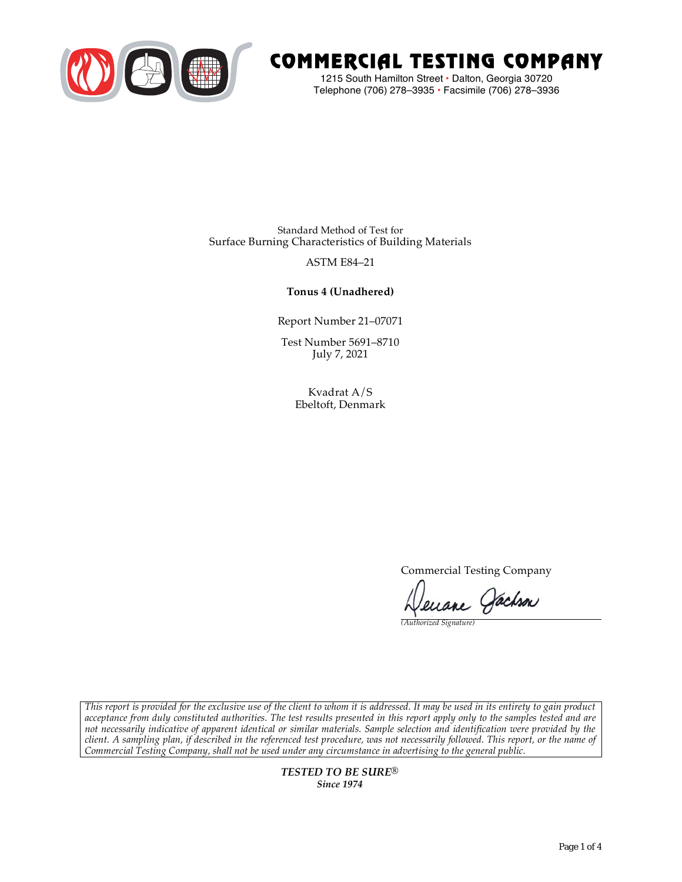

# COMMERCIAL TESTING COMPANY

1215 South Hamilton Street • Dalton, Georgia 30720 Telephone (706) 278–3935 **•** Facsimile (706) 278–3936

Standard Method of Test for Surface Burning Characteristics of Building Materials

## ASTM E84–21

## **Tonus 4 (Unadhered)**

Report Number 21–07071

Test Number 5691–8710 July 7, 2021

> Kvadrat A/S Ebeltoft, Denmark

> > Commercial Testing Company

Jenane Jachson

*(Authorized Signature)* 

*This report is provided for the exclusive use of the client to whom it is addressed. It may be used in its entirety to gain product acceptance from duly constituted authorities. The test results presented in this report apply only to the samples tested and are not necessarily indicative of apparent identical or similar materials. Sample selection and identification were provided by the client. A sampling plan, if described in the referenced test procedure, was not necessarily followed. This report, or the name of Commercial Testing Company, shall not be used under any circumstance in advertising to the general public.* 

> *TESTED TO BE SURE® Since 1974*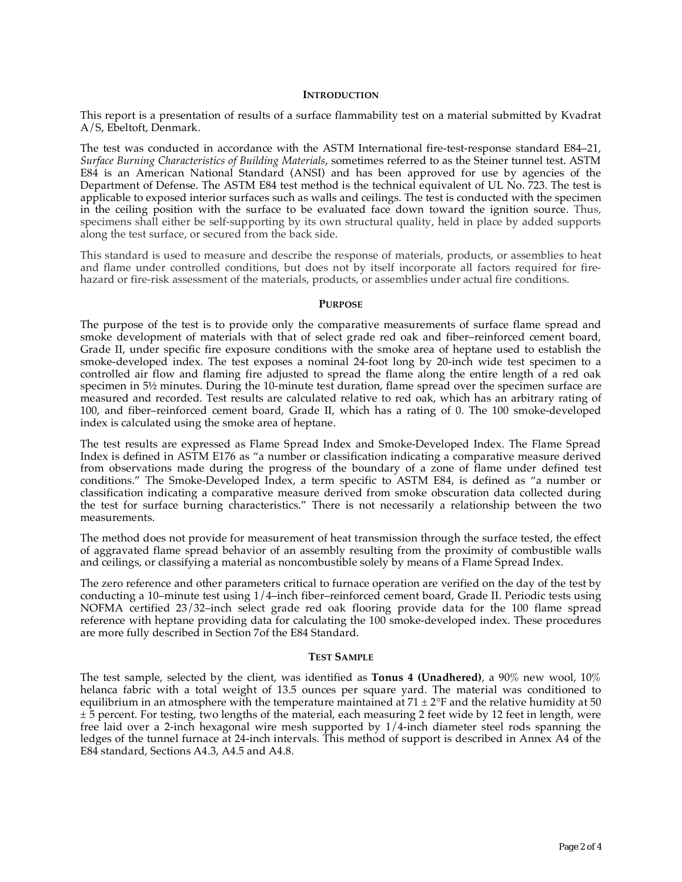#### **INTRODUCTION**

This report is a presentation of results of a surface flammability test on a material submitted by Kvadrat A/S, Ebeltoft, Denmark.

The test was conducted in accordance with the ASTM International fire-test-response standard E84–21, *Surface Burning Characteristics of Building Materials*, sometimes referred to as the Steiner tunnel test. ASTM E84 is an American National Standard (ANSI) and has been approved for use by agencies of the Department of Defense. The ASTM E84 test method is the technical equivalent of UL No. 723. The test is applicable to exposed interior surfaces such as walls and ceilings. The test is conducted with the specimen in the ceiling position with the surface to be evaluated face down toward the ignition source. Thus, specimens shall either be self-supporting by its own structural quality, held in place by added supports along the test surface, or secured from the back side.

This standard is used to measure and describe the response of materials, products, or assemblies to heat and flame under controlled conditions, but does not by itself incorporate all factors required for firehazard or fire-risk assessment of the materials, products, or assemblies under actual fire conditions.

#### **PURPOSE**

The purpose of the test is to provide only the comparative measurements of surface flame spread and smoke development of materials with that of select grade red oak and fiber–reinforced cement board, Grade II, under specific fire exposure conditions with the smoke area of heptane used to establish the smoke-developed index. The test exposes a nominal 24-foot long by 20-inch wide test specimen to a controlled air flow and flaming fire adjusted to spread the flame along the entire length of a red oak specimen in  $5\frac{1}{2}$  minutes. During the 10-minute test duration, flame spread over the specimen surface are measured and recorded. Test results are calculated relative to red oak, which has an arbitrary rating of 100, and fiber–reinforced cement board, Grade II, which has a rating of 0. The 100 smoke-developed index is calculated using the smoke area of heptane.

The test results are expressed as Flame Spread Index and Smoke-Developed Index. The Flame Spread Index is defined in ASTM E176 as "a number or classification indicating a comparative measure derived from observations made during the progress of the boundary of a zone of flame under defined test conditions." The Smoke-Developed Index, a term specific to ASTM E84, is defined as "a number or classification indicating a comparative measure derived from smoke obscuration data collected during the test for surface burning characteristics." There is not necessarily a relationship between the two measurements.

The method does not provide for measurement of heat transmission through the surface tested, the effect of aggravated flame spread behavior of an assembly resulting from the proximity of combustible walls and ceilings, or classifying a material as noncombustible solely by means of a Flame Spread Index.

The zero reference and other parameters critical to furnace operation are verified on the day of the test by conducting a 10–minute test using 1/4–inch fiber–reinforced cement board, Grade II. Periodic tests using NOFMA certified 23/32–inch select grade red oak flooring provide data for the 100 flame spread reference with heptane providing data for calculating the 100 smoke-developed index. These procedures are more fully described in Section 7of the E84 Standard.

#### **TEST SAMPLE**

The test sample, selected by the client, was identified as **Tonus 4 (Unadhered)**, a 90% new wool, 10% helanca fabric with a total weight of 13.5 ounces per square yard. The material was conditioned to equilibrium in an atmosphere with the temperature maintained at  $71 \pm 2$ °F and the relative humidity at 50  $\pm$  5 percent. For testing, two lengths of the material, each measuring 2 feet wide by 12 feet in length, were free laid over a 2-inch hexagonal wire mesh supported by 1/4-inch diameter steel rods spanning the ledges of the tunnel furnace at 24-inch intervals. This method of support is described in Annex A4 of the E84 standard, Sections A4.3, A4.5 and A4.8.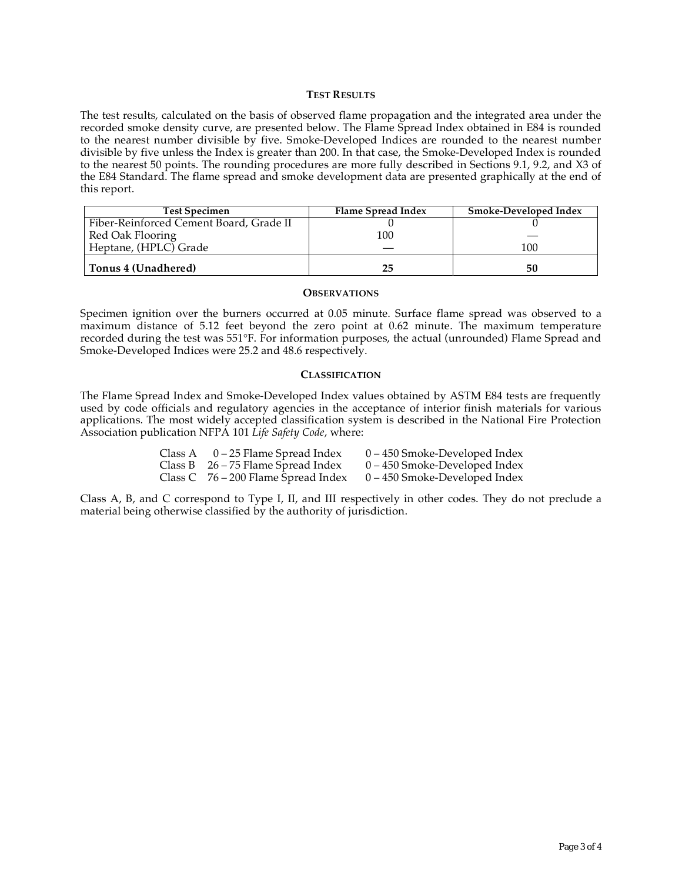#### **TEST RESULTS**

The test results, calculated on the basis of observed flame propagation and the integrated area under the recorded smoke density curve, are presented below. The Flame Spread Index obtained in E84 is rounded to the nearest number divisible by five. Smoke-Developed Indices are rounded to the nearest number divisible by five unless the Index is greater than 200. In that case, the Smoke-Developed Index is rounded to the nearest 50 points. The rounding procedures are more fully described in Sections 9.1, 9.2, and X3 of the E84 Standard. The flame spread and smoke development data are presented graphically at the end of this report.

| <b>Test Specimen</b>                    | Flame Spread Index | Smoke-Developed Index |
|-----------------------------------------|--------------------|-----------------------|
| Fiber-Reinforced Cement Board, Grade II |                    |                       |
| Red Oak Flooring                        | 100                |                       |
| Heptane, (HPLC) Grade                   |                    | 100                   |
| Tonus 4 (Unadhered)                     | 25                 | 50                    |

#### **OBSERVATIONS**

Specimen ignition over the burners occurred at 0.05 minute. Surface flame spread was observed to a maximum distance of 5.12 feet beyond the zero point at 0.62 minute. The maximum temperature recorded during the test was 551°F. For information purposes, the actual (unrounded) Flame Spread and Smoke-Developed Indices were 25.2 and 48.6 respectively.

#### **CLASSIFICATION**

The Flame Spread Index and Smoke-Developed Index values obtained by ASTM E84 tests are frequently used by code officials and regulatory agencies in the acceptance of interior finish materials for various applications. The most widely accepted classification system is described in the National Fire Protection Association publication NFPA 101 *Life Safety Code*, where:

| Class A $0-25$ Flame Spread Index     | $0 - 450$ Smoke-Developed Index |
|---------------------------------------|---------------------------------|
| Class B $26 - 75$ Flame Spread Index  | $0 - 450$ Smoke-Developed Index |
| Class $C$ 76 – 200 Flame Spread Index | $0 - 450$ Smoke-Developed Index |

Class A, B, and C correspond to Type I, II, and III respectively in other codes. They do not preclude a material being otherwise classified by the authority of jurisdiction.